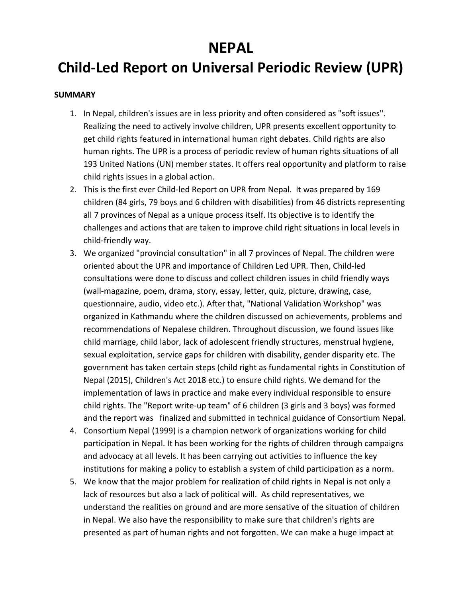## **NEPAL**

# **Child-Led Report on Universal Periodic Review (UPR)**

#### **SUMMARY**

- 1. In Nepal, children's issues are in less priority and often considered as "soft issues". Realizing the need to actively involve children, UPR presents excellent opportunity to get child rights featured in international human right debates. Child rights are also human rights. The UPR is <sup>a</sup> process of periodic review of human rights situations of all 193 United Nations (UN) member states. It offers real opportunity and platform to raise child rights issues in <sup>a</sup> global action.
- 2. This is the first ever Child-led Report on UPR from Nepal. It was prepared by 169 children (84 girls, 79 boys and 6 children with disabilities) from 46 districts representing all 7 provinces of Nepal as <sup>a</sup> unique process itself. Its objective is to identify the challenges and actions that are taken to improve child right situations in local levels in child-friendly way.
- 3. We organized "provincial consultation" in all 7 provinces of Nepal. The children were oriented about the UPR and importance of Children Led UPR. Then, Child-led consultations were done to discuss and collect children issues in child friendly ways (wall-magazine, poem, drama, story, essay, letter, quiz, picture, drawing, case, questionnaire, audio, video etc.). After that, "National Validation Workshop" was organized in Kathmandu where the children discussed on achievements, problems and recommendations of Nepalese children. Throughout discussion, we found issues like child marriage, child labor, lack of adolescent friendly structures, menstrual hygiene, sexual exploitation, service gaps for children with disability, gender disparity etc. The government has taken certain steps (child right as fundamental rights in Constitution of Nepal (2015), Children's Act 2018 etc.) to ensure child rights. We demand for the implementation of laws in practice and make every individual responsible to ensure child rights. The "Report write-up team" of 6 children (3 girls and 3 boys) was formed and the report was finalized and submitted in technical guidance of Consortium Nepal.
- 4. Consortium Nepal (1999) is <sup>a</sup> champion network of organizations working for child participation in Nepal. It has been working for the rights of children through campaigns and advocacy at all levels. It has been carrying out activities to influence the key institutions for making <sup>a</sup> policy to establish <sup>a</sup> system of child participation as <sup>a</sup> norm.
- 5. We know that the major problem for realization of child rights in Nepal is not only <sup>a</sup> lack of resources but also <sup>a</sup> lack of political will. As child representatives, we understand the realities on ground and are more sensative of the situation of children in Nepal. We also have the responsibility to make sure that children's rights are presented as part of human rights and not forgotten. We can make <sup>a</sup> huge impact at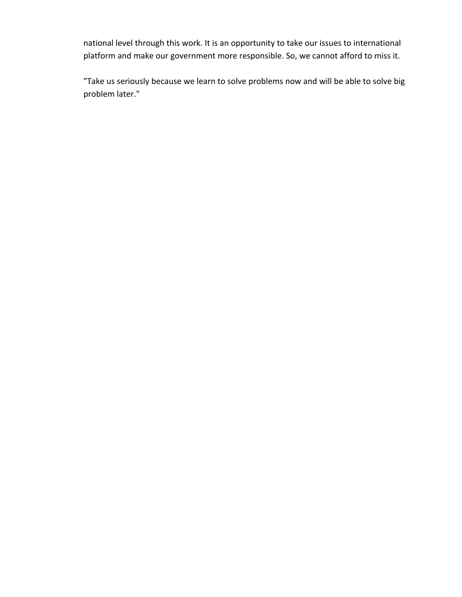national level through this work. It is an opportunity to take our issues to international platform and make our government more responsible. So, we cannot afford to miss it.

"Take us seriously because we learn to solve problems now and will be able to solve big problem later."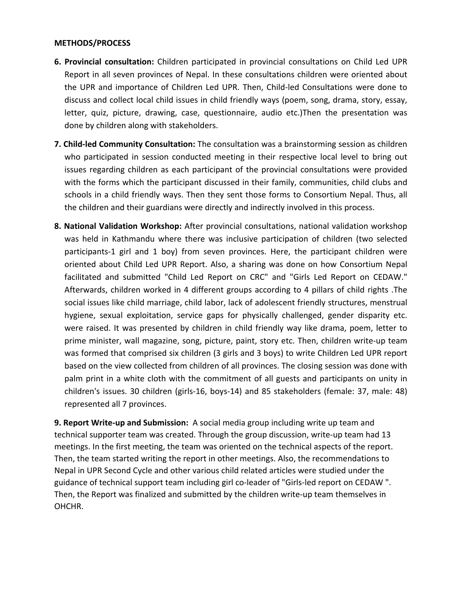#### **METHODS/PROCESS**

- **6. Provincial consultation:** Children participated in provincial consultations on Child Led UPR Report in all seven provinces of Nepal. In these consultations children were oriented about the UPR and importance of Children Led UPR. Then, Child-led Consultations were done to discuss and collect local child issues in child friendly ways (poem, song, drama, story, essay, letter, quiz, picture, drawing, case, questionnaire, audio etc.)Then the presentation was done by children along with stakeholders.
- **7. Child-led Community Consultation:** The consultation was <sup>a</sup> brainstorming session as children who participated in session conducted meeting in their respective local level to bring out issues regarding children as each participant of the provincial consultations were provided with the forms which the participant discussed in their family, communities, child clubs and schools in <sup>a</sup> child friendly ways. Then they sent those forms to Consortium Nepal. Thus, all the children and their guardians were directly and indirectly involved in this process.
- **8. National Validation Workshop:** After provincial consultations, national validation workshop was held in Kathmandu where there was inclusive participation of children (two selected participants-1 girl and 1 boy) from seven provinces. Here, the participant children were oriented about Child Led UPR Report. Also, <sup>a</sup> sharing was done on how Consortium Nepal facilitated and submitted "Child Led Report on CRC" and "Girls Led Report on CEDAW." Afterwards, children worked in 4 different groups according to 4 pillars of child rights .The social issues like child marriage, child labor, lack of adolescent friendly structures, menstrual hygiene, sexual exploitation, service gaps for physically challenged, gender disparity etc. were raised. It was presented by children in child friendly way like drama, poem, letter to prime minister, wall magazine, song, picture, paint, story etc. Then, children write-up team was formed that comprised six children (3 girls and 3 boys) to write Children Led UPR report based on the view collected from children of all provinces. The closing session was done with palm print in <sup>a</sup> white cloth with the commitment of all guests and participants on unity in children's issues. 30 children (girls-16, boys-14) and 85 stakeholders (female: 37, male: 48) represented all 7 provinces.

**9. Report Write-up and Submission:** A social media group including write up team and technical supporter team was created. Through the group discussion, write-up team had 13 meetings. In the first meeting, the team was oriented on the technical aspects of the report. Then, the team started writing the report in other meetings. Also, the recommendations to Nepal in UPR Second Cycle and other various child related articles were studied under the guidance of technical support team including girl co-leader of "Girls-led report on CEDAW ". Then, the Report was finalized and submitted by the children write-up team themselves in OHCHR.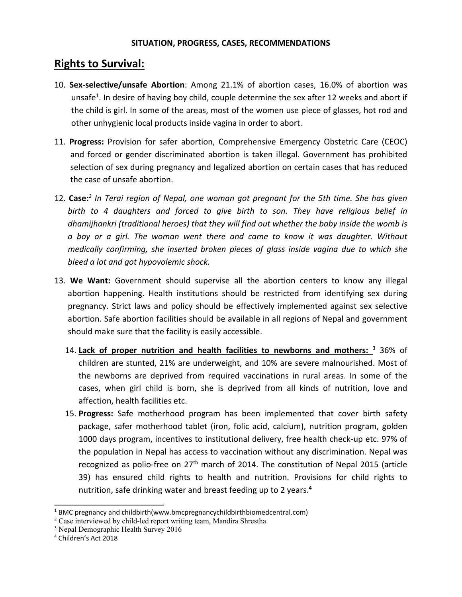### **Rights to Survival:**

- 10. **Sex-selective/unsafe Abortion**: Among 21.1% of abortion cases, 16.0% of abortion was unsafe<sup>1</sup>. In desire of having boy child, couple determine the sex after 12 weeks and abort if the child is girl. In some of the areas, most of the women use piece of glasses, hot rod and other unhygienic local products inside vagina in order to abort.
- 11. **Progress:** Provision for safer abortion, Comprehensive Emergency Obstetric Care (CEOC) and forced or gender discriminated abortion is taken illegal. Government has prohibited selection of sex during pregnancy and legalized abortion on certain cases that has reduced the case of unsafe abortion.
- 12. **Case:** *2 In Terai region of Nepal, one woman got pregnant for the 5th time. She has given birth to 4 daughters and forced to give birth to son. They have religious belief in dhamijhankri (traditional heroes) that they will find out whether the baby inside the womb is <sup>a</sup> boy or <sup>a</sup> girl. The woman went there and came to know it was daughter. Without medically confirming, she inserted broken pieces of glass inside vagina due to which she bleed <sup>a</sup> lot and got hypovolemic shock.*
- 13. **We Want:** Government should supervise all the abortion centers to know any illegal abortion happening. Health institutions should be restricted from identifying sex during pregnancy. Strict laws and policy should be effectively implemented against sex selective abortion. Safe abortion facilities should be available in all regions of Nepal and government should make sure that the facility is easily accessible.
	- 14. **Lack of proper nutrition and health facilities to newborns and mothers:** 3 36% of children are stunted, 21% are underweight, and 10% are severe malnourished. Most of the newborns are deprived from required vaccinations in rural areas. In some of the cases, when girl child is born, she is deprived from all kinds of nutrition, love and affection, health facilities etc.
	- 15. **Progress:** Safe motherhood program has been implemented that cover birth safety package, safer motherhood tablet (iron, folic acid, calcium), nutrition program, golden 1000 days program, incentives to institutional delivery, free health check-up etc. 97% of the population in Nepal has access to vaccination without any discrimination. Nepal was recognized as polio-free on  $27<sup>th</sup>$  march of 2014. The constitution of Nepal 2015 (article 39) has ensured child rights to health and nutrition. Provisions for child rights to nutrition, safe drinking water and breast feeding up to 2 years. **4**

<sup>1</sup> BMC pregnancy and childbirth(www.bmcpregnancychildbirthbiomedcentral.com)

<sup>&</sup>lt;sup>2</sup> Case interviewed by child-led report writing team, Mandira Shrestha

<sup>&</sup>lt;sup>3</sup> Nepal Demographic Health Survey 2016

<sup>4</sup> Children'<sup>s</sup> Act 2018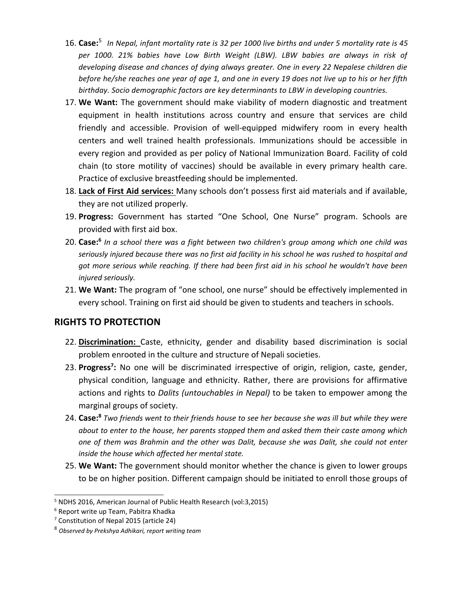- $16.$   $\sf Case: ^5$  In Nepal, infant mortality rate is 32 per 1000 live births and under 5 mortality rate is 45 *per 1000. 21% babies have Low Birth Weight (LBW). LBW babies are always in risk of developing disease and chances of dying always greater. One in every 22 Nepalese children die* before he/she reaches one year of age 1, and one in every 19 does not live up to his or her fifth *birthday. Socio demographic factors are key determinants to LBW in developing countries.*
- 17. **We Want:** The government should make viability of modern diagnostic and treatment equipment in health institutions across country and ensure that services are child friendly and accessible. Provision of well-equipped midwifery room in every health centers and well trained health professionals. Immunizations should be accessible in every region and provided as per policy of National Immunization Board. Facility of cold chain (to store motility of vaccines) should be available in every primary health care. Practice of exclusive breastfeeding should be implemented.
- 18. **Lack of First Aid services:** Many schools don'<sup>t</sup> possess first aid materials and if available, they are not utilized properly.
- 19. **Progress:** Government has started "One School, One Nurse" program. Schools are provided with first aid box.
- 20. **Case: 6** *In <sup>a</sup> school there was <sup>a</sup> fight between two children's group among which one child was* seriously injured because there was no first aid facility in his school he was rushed to hospital and *got more serious while reaching. If there had been first aid in his school he wouldn't have been injured seriously.*
- 21. **We Want:** The program of "one school, one nurse" should be effectively implemented in every school. Training on first aid should be given to students and teachers in schools.

### **RIGHTS TO PROTECTION**

- 22. **Discrimination:** Caste, ethnicity, gender and disability based discrimination is social problem enrooted in the culture and structure of Nepali societies.
- 23. Progress<sup>7</sup>: No one will be discriminated irrespective of origin, religion, caste, gender, physical condition, language and ethnicity. Rather, there are provisions for affirmative actions and rights to *Dalits (untouchables in Nepal)* to be taken to empower among the marginal groups of society.
- 24. **Case:<sup>8</sup> Two friends went to their friends house to see her because she was ill but while they were** *about to enter to the house, her parents stopped them and asked them their caste among which one of them was Brahmin and the other was Dalit, because she was Dalit, she could not enter inside the house which affected her mental state.*
- 25. **We Want:** The government should monitor whether the chance is given to lower groups to be on higher position. Different campaign should be initiated to enroll those groups of

<sup>5</sup> NDHS 2016, American Journal of Public Health Research (vol:3,2015)

<sup>6</sup> Report write up Team, Pabitra Khadka

<sup>7</sup> Constitution of Nepal 2015 (article 24)

<sup>8</sup> *Observed by Prekshya Adhikari, report writing team*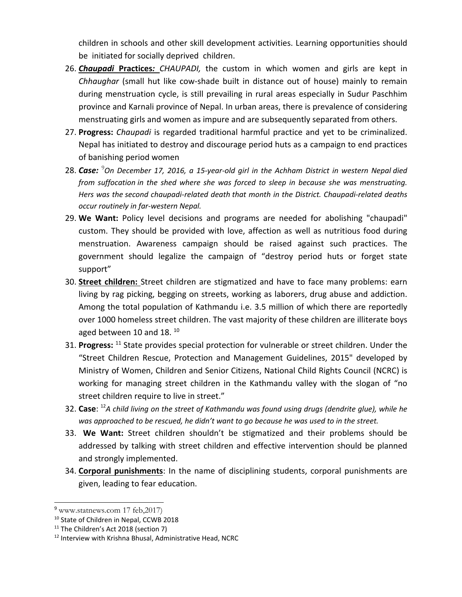children in schools and other skill development activities. Learning opportunities should be initiated for socially deprived children.

- 26. *Chaupadi* **Practices***: CHAUPADI,* the custom in which women and girls are kept in *Chhaughar* (small hut like cow-shade built in distance out of house) mainly to remain during menstruation cycle, is still prevailing in rural areas especially in Sudur Paschhim province and Karnali province of Nepal. In urban areas, there is prevalence of considering menstruating girls and women as impure and are subsequently separated from others.
- 27. **Progress:** *Chaupadi* is regarded traditional harmful practice and yet to be criminalized. Nepal has initiated to destroy and discourage period huts as <sup>a</sup> campaign to end practices of banishing period women
- 28. *Case:* 9 *On December 17, 2016, <sup>a</sup> 15-year-old girl in the Achham District in western Nepal [died](https://www.washingtonpost.com/news/worldviews/wp/2016/12/20/they-banished-their-15-year-old-for-having-her-period-she-died-in-a-cold-nepali-hut/) from [suffocation](https://www.washingtonpost.com/news/worldviews/wp/2016/12/20/they-banished-their-15-year-old-for-having-her-period-she-died-in-a-cold-nepali-hut/) in the shed where she was forced to sleep in because she was menstruating. Hers was the second [chaupadi-related](http://www.npr.org/sections/goatsandsoda/2016/11/28/503155803/a-young-woman-died-in-a-menstrual-shed-in-nepal) death that month in the District. Chaupadi-related deaths occur routinely in far-western Nepal.*
- 29. **We Want:** Policy level decisions and programs are needed for abolishing "chaupadi" custom. They should be provided with love, affection as well as nutritious food during menstruation. Awareness campaign should be raised against such practices. The government should legalize the campaign of "destroy period huts or forget state support"
- 30. **Street children:** Street children are stigmatized and have to face many problems: earn living by rag picking, begging on streets, working as laborers, drug abuse and addiction. Among the total population of Kathmandu i.e. 3.5 million of which there are reportedly over 1000 homeless street children. The vast majority of these children are illiterate boys aged between 10 and 18.  $^{10}$
- 31. Progress: <sup>11</sup> State provides special protection for vulnerable or street children. Under the "Street Children Rescue, Protection and Management Guidelines, 2015" developed by Ministry of Women, Children and Senior Citizens, National Child Rights Council (NCRC) is working for managing street children in the Kathmandu valley with the slogan of "no street children require to live in street."
- 32. **Case**: 12 *A child living on the street of Kathmandu was found using drugs (dendrite glue), while he* was approached to be rescued, he didn't want to go because he was used to in the street.
- 33. **We Want:** Street children shouldn'<sup>t</sup> be stigmatized and their problems should be addressed by talking with street children and effective intervention should be planned and strongly implemented.
- 34. **Corporal punishments**: In the name of disciplining students, corporal punishments are given, leading to fear education.

<sup>9</sup> www.statnews.com 17 feb,2017)

<sup>&</sup>lt;sup>10</sup> State of Children in Nepal, CCWB 2018

<sup>&</sup>lt;sup>11</sup> The Children's Act 2018 (section 7)

<sup>&</sup>lt;sup>12</sup> Interview with Krishna Bhusal, Administrative Head, NCRC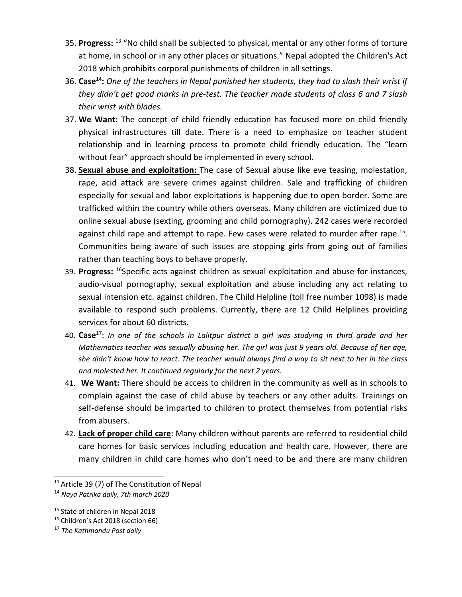- 35. Progress: <sup>13</sup> "No child shall be subjected to physical, mental or any other forms of torture at home, in school or in any other places or situations." Nepal adopted the Children's Act 2018 which prohibits corporal punishments of children in all settings.
- 36. **Case<sup>14</sup>:** One of the teachers in Nepal punished her students, they had to slash their wrist if *they didn'<sup>t</sup> get good marks in pre-test. The teacher made students of class 6 and 7 slash their wrist with blades.*
- 37. **We Want:** The concept of child friendly education has focused more on child friendly physical infrastructures till date. There is <sup>a</sup> need to emphasize on teacher student relationship and in learning process to promote child friendly education. The "learn without fear" approach should be implemented in every school.
- 38. **Sexual abuse and exploitation:** The case of Sexual abuse like eve teasing, molestation, rape, acid attack are severe crimes against children. Sale and trafficking of children especially for sexual and labor exploitations is happening due to open border. Some are trafficked within the country while others overseas. Many children are victimized due to online sexual abuse (sexting, grooming and child pornography). 242 cases were recorded against child rape and attempt to rape. Few cases were related to murder after rape.<sup>15</sup>. Communities being aware of such issues are stopping girls from going out of families rather than teaching boys to behave properly.
- 39. **Progress:** 16 Specific acts against children as sexual exploitation and abuse for instances, audio-visual pornography, sexual exploitation and abuse including any act relating to sexual intension etc. against children. The Child Helpline (toll free number 1098) is made available to respond such problems. Currently, there are 12 Child Helplines providing services for about 60 districts.
- 40. **Case**<sup>17</sup> : *In one of the schools in Lalitpur district <sup>a</sup> girl was studying in third grade and her Mathematics teacher was sexually abusing her. The girl was just 9 years old. Because of her age,* she didn't know how to react. The teacher would always find a way to sit next to her in the class *and molested her. It continued regularly for the next 2 years.*
- 41. **We Want:** There should be access to children in the community as well as in schools to complain against the case of child abuse by teachers or any other adults. Trainings on self-defense should be imparted to children to protect themselves from potential risks from abusers.
- 42. **Lack of proper child care**: Many children without parents are referred to residential child care homes for basic services including education and health care. However, there are many children in child care homes who don'<sup>t</sup> need to be and there are many children

<sup>&</sup>lt;sup>13</sup> Article 39 (7) of The Constitution of Nepal

<sup>14</sup> *Naya Patrika daily, 7th march 2020*

<sup>&</sup>lt;sup>15</sup> State of children in Nepal 2018

<sup>16</sup> Children'<sup>s</sup> Act 2018 (section 66)

<sup>17</sup> *The Kathmandu Post daily*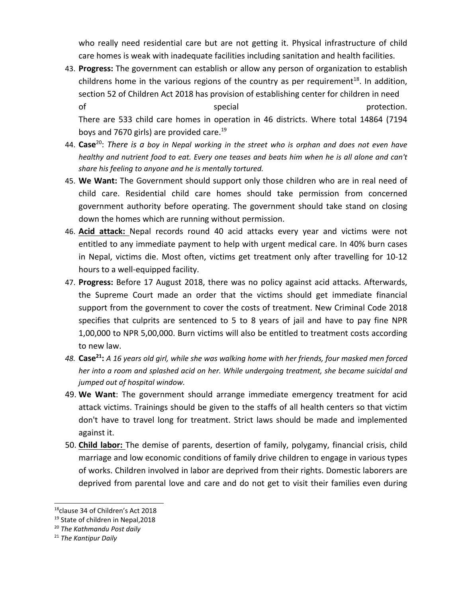who really need residential care but are not getting it. Physical infrastructure of child care homes is weak with inadequate facilities including sanitation and health facilities.

43. **Progress:** The government can establish or allow any person of organization to establish childrens home in the various regions of the country as per requirement $^{\text{18}}$ . In addition, section 52 of Children Act 2018 has provision of establishing center for children in need of special special protection. There are 533 child care homes in operation in 46 districts. Where total 14864 (7194

boys and 7670 girls) are provided care. 19

- 44.  $\mathsf{Case}^{20}$ : There is a boy in Nepal working in the street who is orphan and does not even have healthy and nutrient food to eat. Every one teases and beats him when he is all alone and can't *share his feeling to anyone and he is mentally tortured.*
- 45. **We Want:** The Government should support only those children who are in real need of child care. Residential child care homes should take permission from concerned government authority before operating. The government should take stand on closing down the homes which are running without permission.
- 46. **Acid attack:** Nepal records round 40 acid attacks every year and victims were not entitled to any immediate payment to help with urgent medical care. In 40% burn cases in Nepal, victims die. Most often, victims get treatment only after travelling for 10-12 hours to <sup>a</sup> well-equipped facility.
- 47. **Progress:** Before 17 August 2018, there was no policy against acid attacks. Afterwards, the Supreme Court made an order that the victims should get immediate financial support from the government to cover the costs of treatment. New Criminal Code 2018 specifies that culprits are sentenced to 5 to 8 years of jail and have to pay fine NPR 1,00,000 to NPR 5,00,000. Burn victims will also be entitled to treatment costs according to new law.
- 48. **Case<sup>21</sup>:** A 16 years old girl, while she was walking home with her friends, four masked men forced *her into <sup>a</sup> room and splashed acid on her. While undergoing treatment, she became suicidal and jumped out of hospital window.*
- 49. **We Want**: The government should arrange immediate emergency treatment for acid attack victims. Trainings should be given to the staffs of all health centers so that victim don't have to travel long for treatment. Strict laws should be made and implemented against it.
- 50. **Child labor:** The demise of parents, desertion of family, polygamy, financial crisis, child marriage and low economic conditions of family drive children to engage in various types of works. Children involved in labor are deprived from their rights. Domestic laborers are deprived from parental love and care and do not get to visit their families even during

<sup>&</sup>lt;sup>18</sup>clause 34 of Children's Act 2018

<sup>&</sup>lt;sup>19</sup> State of children in Nepal, 2018

<sup>20</sup> *The Kathmandu Post daily*

<sup>21</sup> *The Kantipur Daily*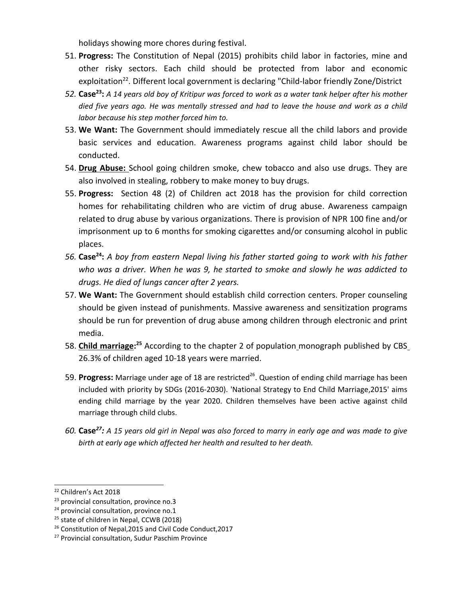holidays showing more chores during festival.

- 51. **Progress:** The Constitution of Nepal (2015) prohibits child labor in factories, mine and other risky sectors. Each child should be protected from labor and economic exploitation<sup>22</sup>. Different local government is declaring "Child-labor friendly Zone/District
- 52. **Case<sup>23</sup>:** A 14 years old boy of Kritipur was forced to work as a water tank helper after his mother died five years ago. He was mentally stressed and had to leave the house and work as a child *labor because his step mother forced him to.*
- 53. **We Want:** The Government should immediately rescue all the child labors and provide basic services and education. Awareness programs against child labor should be conducted.
- 54. **Drug Abuse:** School going children smoke, chew tobacco and also use drugs. They are also involved in stealing, robbery to make money to buy drugs.
- 55. **Progress:** Section 48 (2) of Children act 2018 has the provision for child correction homes for rehabilitating children who are victim of drug abuse. Awareness campaign related to drug abuse by various organizations. There is provision of NPR 100 fine and/or imprisonment up to 6 months for smoking cigarettes and/or consuming alcohol in public places.
- 56. Case<sup>24</sup>: A boy from eastern Nepal living his father started going to work with his father *who was <sup>a</sup> driver. When he was 9, he started to smoke and slowly he was addicted to drugs. He died of lungs cancer after 2 years.*
- 57. **We Want:** The Government should establish child correction centers. Proper counseling should be given instead of punishments. Massive awareness and sensitization programs should be run for prevention of drug abuse among children through electronic and print media.
- 58. **Child marriage: 25** According to the chapter 2 of population monograph published by CBS 26.3% of children aged 10-18 years were married.
- 59. **Progress:** Marriage under age of 18 are restricted 26 . Question of ending child marriage has been included with priority by SDGs (2016-2030). 'National Strategy to End Child Marriage,2015' aims ending child marriage by the year 2020. Children themselves have been active against child marriage through child clubs.
- 60. **Case<sup>27</sup>:** A 15 years old girl in Nepal was also forced to marry in early age and was made to give *birth at early age which affected her health and resulted to her death.*

<sup>&</sup>lt;sup>22</sup> Children's Act 2018

<sup>&</sup>lt;sup>23</sup> provincial consultation, province no.3

<sup>&</sup>lt;sup>24</sup> provincial consultation, province no.1

<sup>&</sup>lt;sup>25</sup> state of children in Nepal, CCWB (2018)

<sup>&</sup>lt;sup>26</sup> Constitution of Nepal,2015 and Civil Code Conduct,2017

<sup>&</sup>lt;sup>27</sup> Provincial consultation, Sudur Paschim Province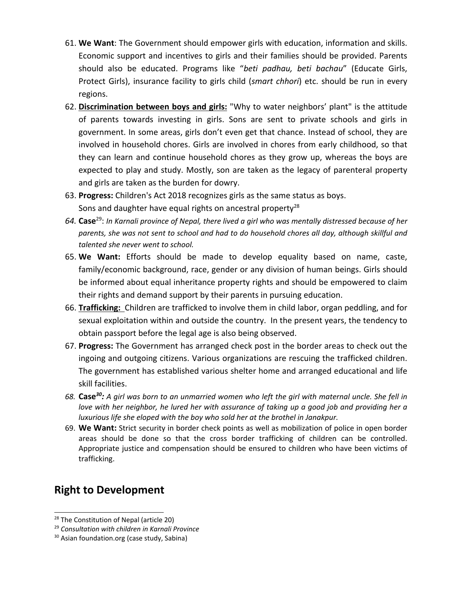- 61. **We Want**: The Government should empower girls with education, information and skills. Economic support and incentives to girls and their families should be provided. Parents should also be educated. Programs like "*beti padhau, beti bachau*" (Educate Girls, Protect Girls), insurance facility to girls child (*smart chhori*) etc. should be run in every regions.
- 62. **Discrimination between boys and girls:** "Why to water neighbors' plant" is the attitude of parents towards investing in girls. Sons are sent to private schools and girls in government. In some areas, girls don'<sup>t</sup> even get that chance. Instead of school, they are involved in household chores. Girls are involved in chores from early childhood, so that they can learn and continue household chores as they grow up, whereas the boys are expected to play and study. Mostly, son are taken as the legacy of parenteral property and girls are taken as the burden for dowry.
- 63. **Progress:** Children's Act 2018 recognizes girls as the same status as boys. Sons and daughter have equal rights on ancestral property<sup>28</sup>
- 64.  $\sf Case^{29}$ : In Karnali province of Nepal, there lived a girl who was mentally distressed because of her *parents, she was not sent to school and had to do household chores all day, although skillful and talented she never went to school.*
- 65. **We Want:** Efforts should be made to develop equality based on name, caste, family/economic background, race, gender or any division of human beings. Girls should be informed about equal inheritance property rights and should be empowered to claim their rights and demand support by their parents in pursuing education.
- 66. **Trafficking:** Children are trafficked to involve them in child labor, organ peddling, and for sexual exploitation within and outside the country. In the present years, the tendency to obtain passport before the legal age is also being observed.
- 67. **Progress:** The Government has arranged check post in the border areas to check out the ingoing and outgoing citizens. Various organizations are rescuing the trafficked children. The government has established various shelter home and arranged educational and life skill facilities.
- 68. **Case<sup>30</sup>:** A girl was born to an unmarried women who left the girl with maternal uncle. She fell in love with her neighbor, he lured her with assurance of taking up a good job and providing her a *luxurious life she eloped with the boy who sold her at the brothel in Janakpur.*
- 69. **We Want:** Strict security in border check points as well as mobilization of police in open border areas should be done so that the cross border trafficking of children can be controlled. Appropriate justice and compensation should be ensured to children who have been victims of trafficking.

### **Right to Development**

<sup>&</sup>lt;sup>28</sup> The Constitution of Nepal (article 20)

<sup>29</sup> *Consultation with children in Karnali Province*

<sup>&</sup>lt;sup>30</sup> Asian foundation.org (case study, Sabina)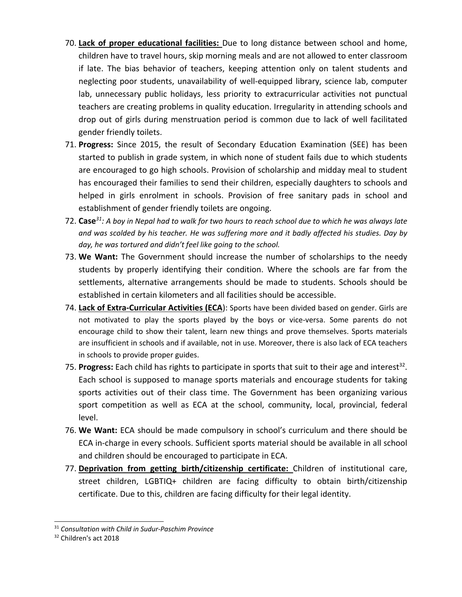- 70. **Lack of proper educational facilities:** Due to long distance between school and home, children have to travel hours, skip morning meals and are not allowed to enter classroom if late. The bias behavior of teachers, keeping attention only on talent students and neglecting poor students, unavailability of well-equipped library, science lab, computer lab, unnecessary public holidays, less priority to extracurricular activities not punctual teachers are creating problems in quality education. Irregularity in attending schools and drop out of girls during menstruation period is common due to lack of well facilitated gender friendly toilets.
- 71. **Progress:** Since 2015, the result of Secondary Education Examination (SEE) has been started to publish in grade system, in which none of student fails due to which students are encouraged to go high schools. Provision of scholarship and midday meal to student has encouraged their families to send their children, especially daughters to schools and helped in girls enrolment in schools. Provision of free sanitary pads in school and establishment of gender friendly toilets are ongoing.
- 72.  $\mathsf{Case}^{31}$ : A boy in Nepal had to walk for two hours to reach school due to which he was always late *and was scolded by his teacher. He was suffering more and it badly affected his studies. Day by day, he was tortured and didn'<sup>t</sup> feel like going to the school.*
- 73. **We Want:** The Government should increase the number of scholarships to the needy students by properly identifying their condition. Where the schools are far from the settlements, alternative arrangements should be made to students. Schools should be established in certain kilometers and all facilities should be accessible.
- 74. **Lack of Extra-Curricular Activities (ECA**): Sports have been divided based on gender. Girls are not motivated to play the sports played by the boys or vice-versa. Some parents do not encourage child to show their talent, learn new things and prove themselves. Sports materials are insufficient in schools and if available, not in use. Moreover, there is also lack of ECA teachers in schools to provide proper guides.
- 75. Progress: Each child has rights to participate in sports that suit to their age and interest<sup>32</sup>. Each school is supposed to manage sports materials and encourage students for taking sports activities out of their class time. The Government has been organizing various sport competition as well as ECA at the school, community, local, provincial, federal level.
- 76. **We Want:** ECA should be made compulsory in school'<sup>s</sup> curriculum and there should be ECA in-charge in every schools. Sufficient sports material should be available in all school and children should be encouraged to participate in ECA.
- 77. **Deprivation from getting birth/citizenship certificate:** Children of institutional care, street children, LGBTIQ+ children are facing difficulty to obtain birth/citizenship certificate. Due to this, children are facing difficulty for their legal identity.

<sup>31</sup> *Consultation with Child in Sudur-Paschim Province*

<sup>&</sup>lt;sup>32</sup> Children's act 2018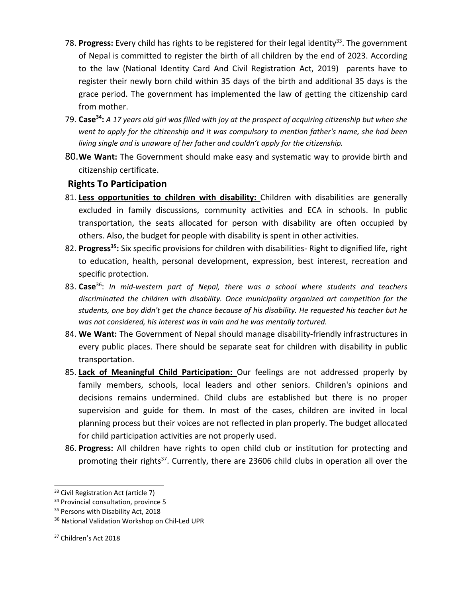- 78. **Progress:** Every child has rights to be registered for their legal identity 33 . The government of Nepal is committed to register the birth of all children by the end of 2023. According to the law (National Identity Card And Civil Registration Act, 2019) parents have to register their newly born child within 35 days of the birth and additional 35 days is the grace period. The government has implemented the law of getting the citizenship card from mother.
- 79. **Case<sup>34</sup>:** A 17 years old girl was filled with joy at the prospect of acquiring citizenship but when she *went to apply for the citizenship and it was compulsory to mention father's name, she had been living single and is unaware of her father and couldn'<sup>t</sup> apply for the citizenship.*
- 80.**We Want:** The Government should make easy and systematic way to provide birth and citizenship certificate.

### **Rights To Participation**

- 81. **Less opportunities to children with disability:** Children with disabilities are generally excluded in family discussions, community activities and ECA in schools. In public transportation, the seats allocated for person with disability are often occupied by others. Also, the budget for people with disability is spent in other activities.
- 82. **Progress 35 :** Six specific provisions for children with disabilities- Right to dignified life, right to education, health, personal development, expression, best interest, recreation and specific protection.
- 83. **Case**<sup>36</sup> : *In mid-western part of Nepal, there was <sup>a</sup> school where students and teachers discriminated the children with disability. Once municipality organized art competition for the students, one boy didn't get the chance because of his disability. He requested his teacher but he was not considered, his interest was in vain and he was mentally tortured.*
- 84. **We Want:** The Government of Nepal should manage disability-friendly infrastructures in every public places. There should be separate seat for children with disability in public transportation.
- 85. **Lack of Meaningful Child Participation:** Our feelings are not addressed properly by family members, schools, local leaders and other seniors. Children's opinions and decisions remains undermined. Child clubs are established but there is no proper supervision and guide for them. In most of the cases, children are invited in local planning process but their voices are not reflected in plan properly. The budget allocated for child participation activities are not properly used.
- 86. **Progress:** All children have rights to open child club or institution for protecting and promoting their rights<sup>37</sup>. Currently, there are 23606 child clubs in operation all over the

<sup>&</sup>lt;sup>33</sup> Civil Registration Act (article 7)

<sup>&</sup>lt;sup>34</sup> Provincial consultation, province 5

<sup>&</sup>lt;sup>35</sup> Persons with Disability Act, 2018

<sup>&</sup>lt;sup>36</sup> National Validation Workshop on Chil-Led UPR

<sup>&</sup>lt;sup>37</sup> Children's Act 2018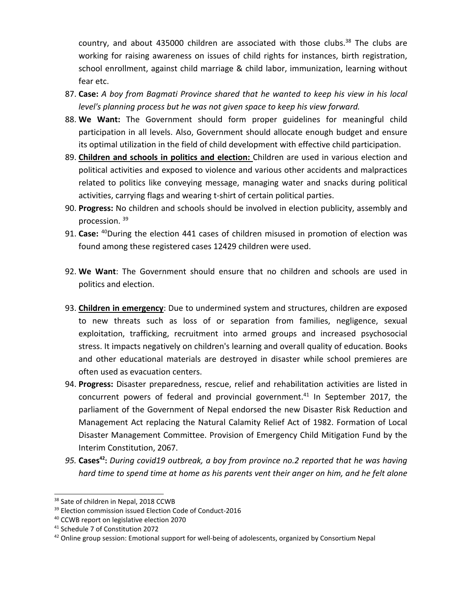country, and about 435000 children are associated with those clubs.<sup>38</sup> The clubs are working for raising awareness on issues of child rights for instances, birth registration, school enrollment, against child marriage & child labor, immunization, learning without fear etc.

- 87. **Case:** *A boy from Bagmati Province shared that he wanted to keep his view in his local level's planning process but he was not given space to keep his view forward.*
- 88. **We Want:** The Government should form proper guidelines for meaningful child participation in all levels. Also, Government should allocate enough budget and ensure its optimal utilization in the field of child development with effective child participation.
- 89. **Children and schools in politics and election:** Children are used in various election and political activities and exposed to violence and various other accidents and malpractices related to politics like conveying message, managing water and snacks during political activities, carrying flags and wearing t-shirt of certain political parties.
- 90. **Progress:** No children and schools should be involved in election publicity, assembly and procession. <sup>39</sup>
- 91. **Case:** 40 During the election 441 cases of children misused in promotion of election was found among these registered cases 12429 children were used.
- 92. **We Want**: The Government should ensure that no children and schools are used in politics and election.
- 93. **Children in emergency**: Due to undermined system and structures, children are exposed to new threats such as loss of or separation from families, negligence, sexual exploitation, trafficking, recruitment into armed groups and increased psychosocial stress. It impacts negatively on children's learning and overall quality of education. Books and other educational materials are destroyed in disaster while school premieres are often used as evacuation centers.
- 94. **Progress:** Disaster preparedness, rescue, relief and rehabilitation activities are listed in concurrent powers of federal and provincial government.<sup>41</sup> In September 2017, the parliament of the Government of Nepal endorsed the new Disaster Risk Reduction and Management Act replacing the Natural Calamity Relief Act of 1982. Formation of Local Disaster Management Committee. Provision of Emergency Child Mitigation Fund by the Interim Constitution, 2067.
- *95.* **Cases 42 :** *During covid19 outbreak, <sup>a</sup> boy from province no.2 reported that he was having hard time to spend time at home as his parents vent their anger on him, and he felt alone*

<sup>&</sup>lt;sup>38</sup> Sate of children in Nepal, 2018 CCWB

<sup>&</sup>lt;sup>39</sup> Election commission issued Election Code of Conduct-2016

<sup>&</sup>lt;sup>40</sup> CCWB report on legislative election 2070

<sup>41</sup> Schedule 7 of Constitution 2072

 $^{42}$  Online group session: Emotional support for well-being of adolescents, organized by Consortium Nepal